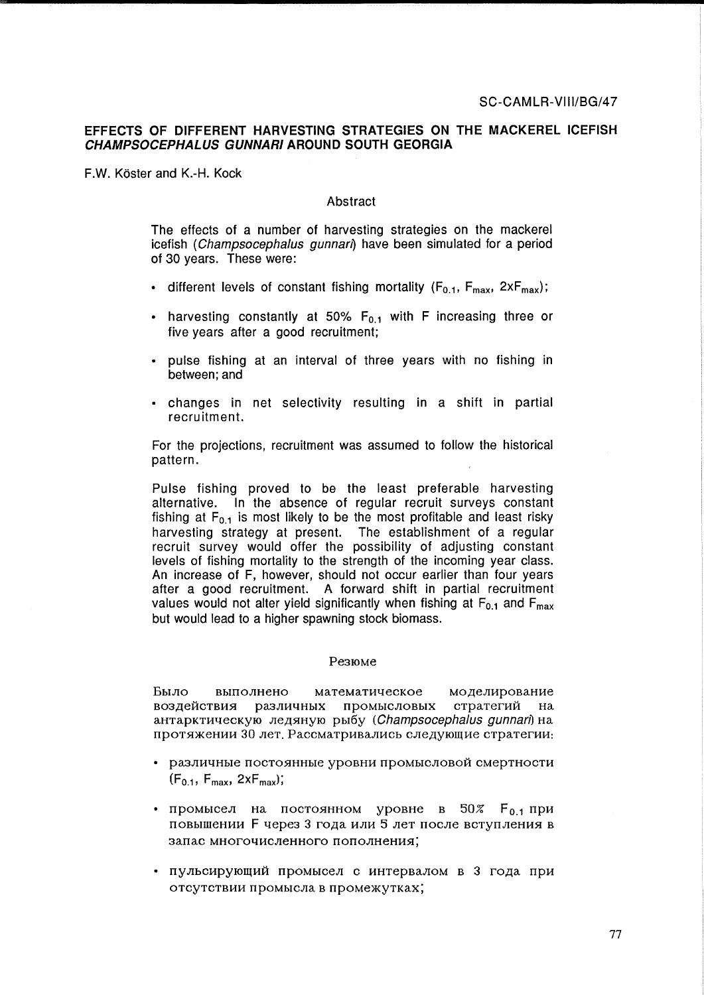# EFFECTS OF DIFFERENT HARVESTING STRATEGIES ON THE MACKEREL ICEFISH CHAMPSOCEPHALUS GUNNARI AROUND SOUTH GEORGIA

F.W. Köster and K.-H. Kock

# Abstract

The effects of a number of harvesting strategies on the mackerel icefish (Champsocephalus gunnari) have been simulated for a period of 30 years. These were:

- different levels of constant fishing mortality ( $F_{0,1}$ ,  $F_{\text{max}}$ ,  $2xF_{\text{max}}$ );
- harvesting constantly at 50%  $F_{0,1}$  with F increasing three or five vears after a good recruitment:
- · pulse fishing at an interval of three years with no fishing in between; and
- . changes in net selectivity resulting in a shift in partial recruitment.

For the projections, recruitment was assumed to follow the historical pattern.

Pulse fishing proved to be the least preferable harvesting alternative. In the absence of regular recruit surveys constant fishing at  $F_{0,1}$  is most likely to be the most profitable and least risky harvesting strategy at present. The establishment of a regular recruit survey would offer the possibility of adjusting constant levels of fishing mortality to the strength of the incoming year class. An increase of F, however, should not occur earlier than four years after a good recruitment. A forward shift in partial recruitment values would not alter yield significantly when fishing at  $F_{0,1}$  and  $F_{\text{max}}$ but would lead to a higher spawning stock biomass.

## Резюме

математическое Было выполнено моделирование различных промысловых стратегий воздействия на антарктическую ледяную рыбу (Champsocephalus qunnari) на протяжении 30 лет. Рассматривались следующие стратегии:

- различные постоянные уровни промысловой смертности  $(F_{0.1}, F_{\text{max}}, 2xF_{\text{max}});$
- промысел на постоянном уровне в 50%  $F_{0,1}$ при повышении F через 3 года или 5 лет после вступления в запас многочисленного пополнения;
- пульсирующий промысел с интервалом в 3 года при отсутствии промысла в промежутках;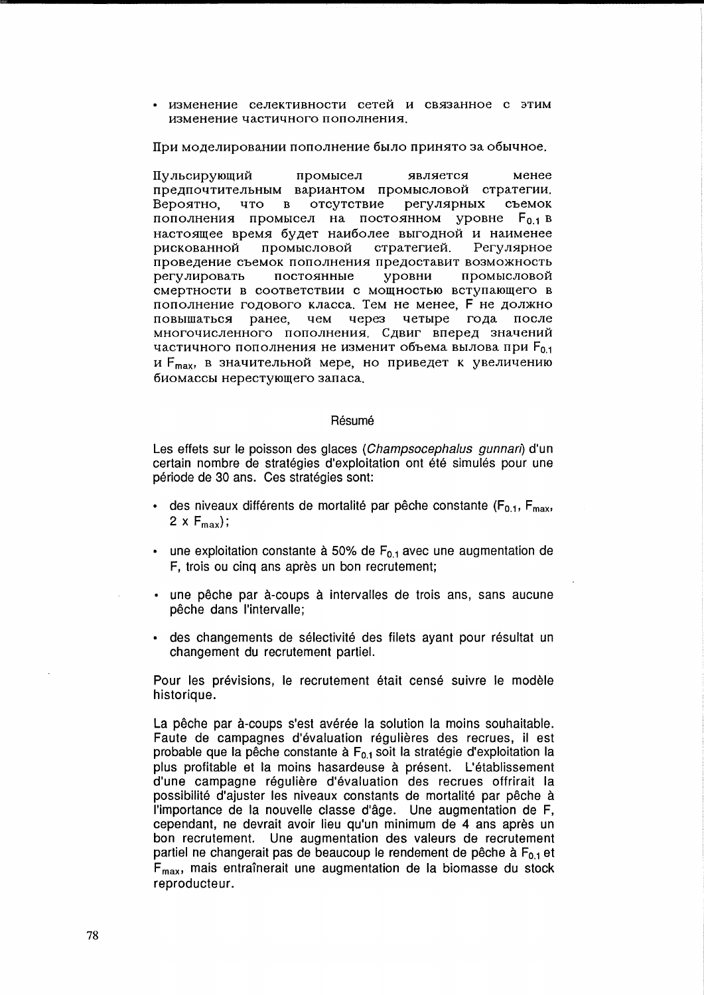изменение селективности сетей и связанное с этим изменение частичного пополнения.

При моделировании пополнение было принято за обычное.

Пульсирующий промысел является менее предпочтительным вариантом промысловой стратегии. Вероятно. что в отсутствие регулярных съемок пополнения промысел на постоянном уровне  $F_{0,1}$  в настоящее время будет наиболее выгодной и наименее промысловой рискованной стратегией. Регулярное проведение съемок пополнения предоставит возможность регулировать постоянные уровни промысловой смертности в соответствии с мощностью вступающего в пополнение годового класса. Тем не менее, F не должно повышаться ранее. чем через четыре года после многочисленного пополнения. Сдвиг вперед значений частичного пополнения не изменит объема вылова при F<sub>0.1</sub> и F<sub>max</sub>, в значительной мере, но приведет к увеличению биомассы нерестующего запаса.

## Résumé

Les effets sur le poisson des glaces (Champsocephalus gunnari) d'un certain nombre de stratégies d'exploitation ont été simulés pour une période de 30 ans. Ces stratégies sont:

- des niveaux différents de mortalité par pêche constante ( $F_{0,1}$ ,  $F_{\text{max}}$ , 2 x  $F_{\text{max}}$ ;
- une exploitation constante à 50% de  $F_{0,1}$  avec une augmentation de F, trois ou cinq ans après un bon recrutement;
- · une pêche par à-coups à intervalles de trois ans, sans aucune pêche dans l'intervalle;
- · des changements de sélectivité des filets ayant pour résultat un changement du recrutement partiel.

Pour les prévisions, le recrutement était censé suivre le modèle historique.

La pêche par à-coups s'est avérée la solution la moins souhaitable. Faute de campagnes d'évaluation régulières des recrues, il est probable que la pêche constante à F<sub>0.1</sub> soit la stratégie d'exploitation la plus profitable et la moins hasardeuse à présent. L'établissement d'une campagne régulière d'évaluation des recrues offrirait la possibilité d'ajuster les niveaux constants de mortalité par pêche à l'importance de la nouvelle classe d'âge. Une augmentation de F, cependant, ne devrait avoir lieu qu'un minimum de 4 ans après un bon recrutement. Une augmentation des valeurs de recrutement partiel ne changerait pas de beaucoup le rendement de pêche à  $F_{0,1}$  et F<sub>max</sub>, mais entraînerait une augmentation de la biomasse du stock reproducteur.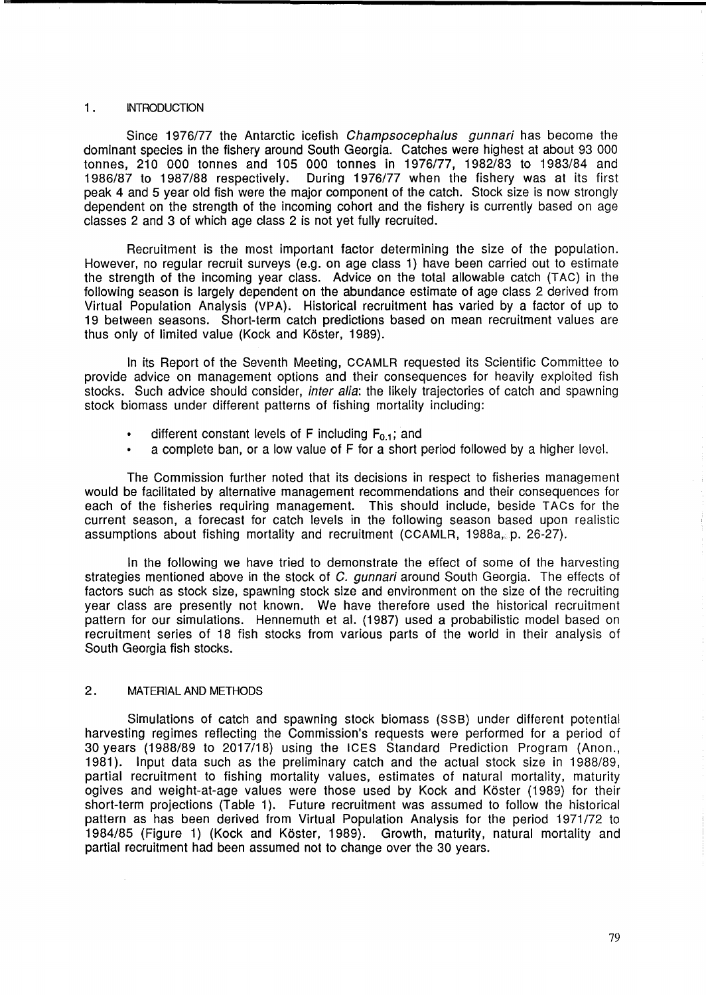## 1 . INTRODUCTION

Since 1976/77 the Antarctic icefish *Champsocephalus gunnari* has become the dominant species in the fishery around South Georgia. Catches were highest at about 93 000 tonnes, 210 000 tonnes and 105 000 tonnes in 1976/77, 1982/83 to 1983/84 and 1986/87 to 1987/88 respectively. During 1976/77 when the fishery was at its first peak 4 and 5 year old fish were the major component of the catch. Stock size is now strongly dependent on the strength of the incoming cohort and the fishery is currently based on age classes 2 and 3 of which age class 2 is not yet fully recruited.

Recruitment is the most important factor determining the size of the population. However, no regular recruit surveys (e.g. on age class 1) have been carried out to estimate the strength of the incoming year class. Advice on the total allowable catch (TAC) in the following season is largely dependent on the abundance estimate of age class 2 derived from Virtual Population Analysis (VPA). Historical recruitment has varied by a factor of up to 19 between seasons. Short-term catch predictions based on mean recruitment values are thus only of limited value (Kock and Köster, 1989).

In its Report of the Seventh Meeting, CCAMLR requested its Scientific Committee to provide advice on management options and their consequences for heavily exploited fish stocks. Such advice should consider, *inter alia*: the likely trajectories of catch and spawning stock biomass under different patterns of fishing mortality including:

- different constant levels of F including  $F_{0,1}$ ; and
- a complete ban, or a low value of F for a short period followed by a higher level.

The Commission further noted that its decisions in respect to fisheries management would be facilitated by alternative management recommendations and their consequences for each of the fisheries requiring management. This should include, beside TACs for the current season, a forecast for catch levels in the following season based upon realistic assumptions about fishing mortality and recruitment (CCAMLR, 1988a,. p. 26-27).

In the following we have tried to demonstrate the effect of some of the harvesting strategies mentioned above in the stock of C. *gunnari* around South Georgia. The effects of factors such as stock size, spawning stock size and environment on the size of the recruiting year class are presently not known. We have therefore used the historical recruitment pattern for our simulations. Hennemuth et al. (1987) used a probabilistic model based on recruitment series of 18 fish stocks from various parts of the world in their analysis of South Georgia fish stocks.

# 2. MATERIAL AND METHODS

Simulations of catch and spawning stock biomass (SS B) under different potential harvesting regimes reflecting the Commission's requests were performed for a period of 30 years (1988/89 to 2017/18) using the ICES Standard Prediction Program (Anon., 1981). Input data such as the preliminary catch and the actual stock size in 1988/89, partial recruitment to fishing mortality values, estimates of natural mortality, maturity ogives and weight-at-age values were those used by Kock and Koster (1989) for their short-term projections (Table 1). Future recruitment was assumed to follow the historical pattern as has been derived from Virtual Population Analysis for the period 1971/72 to 1984/85 (Figure 1) (Kock and Koster, 1989). Growth, maturity, natural mortality and partial recruitment had been assumed not to change over the 30 years.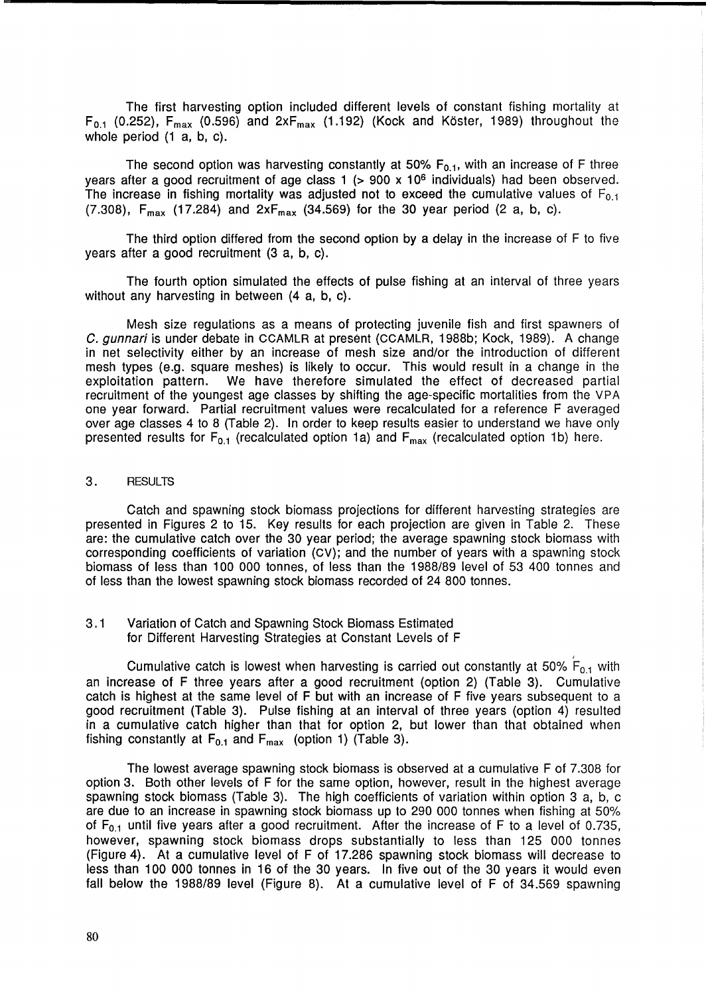The first harvesting option included different levels of constant fishing mortality at  $F_{0.1}$  (0.252),  $F_{max}$  (0.596) and  $2xF_{max}$  (1.192) (Kock and Köster, 1989) throughout the whole period (1 a, b, c).

The second option was harvesting constantly at 50%  $F_{0.1}$ , with an increase of F three years after a good recruitment of age class 1 (> 900 x 106 individuals) had been observed. The increase in fishing mortality was adjusted not to exceed the cumulative values of  $F_{0,1}$ (7.308),  $F_{\text{max}}$  (17.284) and  $2xF_{\text{max}}$  (34.569) for the 30 year period (2 a, b, c).

The third option differed from the second option by a delay in the increase of F to five years after a good recruitment (3 a, b, c).

The fourth option simulated the effects of pulse fishing at an interval of three years without any harvesting in between  $(4 \text{ a}, \text{ b}, \text{ c})$ .

Mesh size regulations as a means of protecting juvenile fish and first spawners of C. gunnari is under debate in CCAMLR at present (CCAMLR, 1988b; Kock, 1989). A change in net selectivity either by an increase of mesh size and/or the introduction of different mesh types (e.g. square meshes) is likely to occur. This would result in a change in the exploitation pattern. We have therefore simulated the effect of decreased partial recruitment of the youngest age classes by shifting the age-specific mortalities from the VPA one year forward. Partial recruitment values were recalculated for a reference F averaged over age classes 4 to 8 (Table 2). In order to keep results easier to understand we have only presented results for  $F_{0.1}$  (recalculated option 1a) and  $F_{\text{max}}$  (recalculated option 1b) here.

## 3. RESULTS

Catch and spawning stock biomass projections for different harvesting strategies are presented in Figures 2 to 15. Key results for each projection are given in Table 2. These are: the cumulative catch over the 30 year period; the average spawning stock biomass with corresponding coefficients of variation (CV); and the number of years with a spawning stock biomass of less than 100 000 tonnes, of less than the 1988/89 level of 53 400 tonnes and of less than the lowest spawning stock biomass recorded of 24 800 tonnes.

3.1 Variation of Catch and Spawning Stock Biomass Estimated for Different Harvesting Strategies at Constant Levels of F

Cumulative catch is lowest when harvesting is carried out constantly at 50%  $\overleftarrow{\mathsf{F}}_{0.1}$  with an increase of F three years after a good recruitment (option 2) (Table 3). Cumulative catch is highest at the same level of F but with an increase of F five years subsequent to a good recruitment (Table 3). Pulse fishing at an interval of three years (option 4) resulted in a cumulative catch higher than that for option 2, but lower than that obtained when fishing constantly at  $F_{0.1}$  and  $F_{max}$  (option 1) (Table 3).

The lowest average spawning stock biomass is observed at a cumulative F of 7.308 for option 3. Both other levels of F for the same option, however, result in the highest average spawning stock biomass (Table 3). The high coefficients of variation within option 3 a, b, c are due to an increase in spawning stock biomass up to 290 000 tonnes when fishing at 50% of  $F_{0.1}$  until five years after a good recruitment. After the increase of F to a level of 0.735, however, spawning stock biomass drops substantially to less than 125 000 tonnes (Figure 4). At a cumulative level of F of 17.286 spawning stock biomass will decrease to less than 100 000 tonnes in 16 of the 30 years. In five out of the 30 years it would even fall below the 1988/89 level (Figure 8). At a cumulative level of F of 34.569 spawning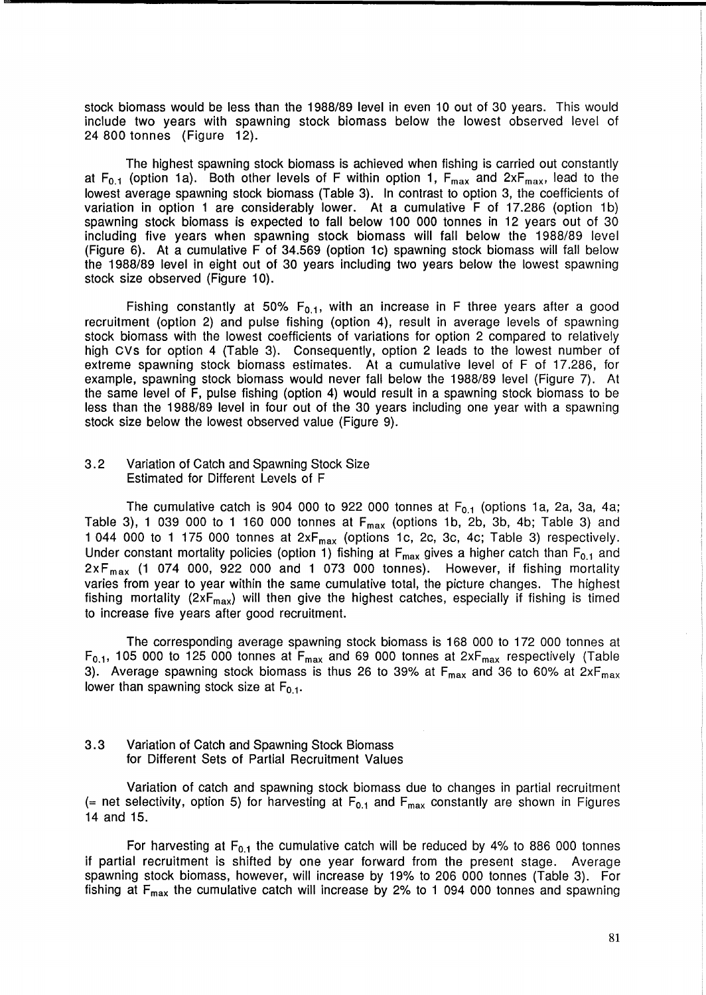stock biomass would be less than the 1988/89 level in even 10 out of 30 years. This would include two years with spawning stock biomass below the lowest observed level of 24 800 tonnes (Figure 12).

The highest spawning stock biomass is achieved when fishing is carried out constantly at  $F_{0.1}$  (option 1a). Both other levels of F within option 1,  $F_{\text{max}}$  and  $2xF_{\text{max}}$ , lead to the lowest average spawning stock biomass (Table 3). In contrast to option 3, the coefficients of variation in option 1 are considerably lower. At a cumulative F of 17.286 (option 1b) spawning stock biomass is expected to fall below 100 000 tonnes in 12 years out of 30 including five years when spawning stock biomass will fall below the 1988/89 level (Figure 6). At a cumulative F of 34.569 (option 1c) spawning stock biomass will fall below the 1988/89 level in eight out of 30 years including two years below the lowest spawning stock size observed (Figure 10).

Fishing constantly at 50%  $F_{0.1}$ , with an increase in F three years after a good recruitment (option 2) and pulse fishing (option 4), result in average levels of spawning stock biomass with the lowest coefficients of variations for option 2 compared to relatively high Cvs for option 4 (Table 3). Consequently, option 2 leads to the lowest number of extreme spawning stock biomass estimates. At a cumulative level of F of 17.286, for example, spawning stock biomass would never fall below the 1988/89 level (Figure 7). At the same level of F, pulse fishing (option 4) would result in a spawning stock biomass to be less than the 1988/89 level in four out of the 30 years including one year with a spawning stock size below the lowest observed value (Figure 9).

## 3.2 Variation of Catch and Spawning Stock Size Estimated for Different Levels of F

The cumulative catch is 904 000 to 922 000 tonnes at  $F_{0.1}$  (options 1a, 2a, 3a, 4a; Table 3), 1 039 000 to 1 160 000 tonnes at  $F_{max}$  (options 1b, 2b, 3b, 4b; Table 3) and 1 044 000 to 1 175 000 tonnes at  $2xF_{max}$  (options 1c, 2c, 3c, 4c; Table 3) respectively. Under constant mortality policies (option 1) fishing at  $F_{\text{max}}$  gives a higher catch than  $F_{0,1}$  and  $2xF_{max}$  (1 074 000, 922 000 and 1 073 000 tonnes). However, if fishing mortality varies from year to year within the same cumulative total, the picture changes. The highest fishing mortality ( $2xF_{max}$ ) will then give the highest catches, especially if fishing is timed to increase five years after good recruitment.

The corresponding average spawning stock biomass is 168 000 to 172 000 tonnes at  $F_{0.1}$ , 105 000 to 125 000 tonnes at  $F_{max}$  and 69 000 tonnes at 2x $F_{max}$  respectively (Table 3). Average spawning stock biomass is thus 26 to 39% at  $F_{\text{max}}$  and 36 to 60% at  $2xF_{\text{max}}$ lower than spawning stock size at  $F_{0.1}$ .

## 3.3 Variation of Catch and Spawning Stock Biomass for Different Sets of Partial Recruitment Values

Variation of catch and spawning stock biomass due to changes in partial recruitment (= net selectivity, option 5) for harvesting at  $F_{0,1}$  and  $F_{\text{max}}$  constantly are shown in Figures 14 and 15.

For harvesting at  $F_{0,1}$  the cumulative catch will be reduced by 4% to 886 000 tonnes if partial recruitment is shifted by one year forward from the present stage. Average spawning stock biomass, however, will increase by 19% to 206 000 tonnes (Table 3). For fishing at  $F_{\text{max}}$  the cumulative catch will increase by 2% to 1 094 000 tonnes and spawning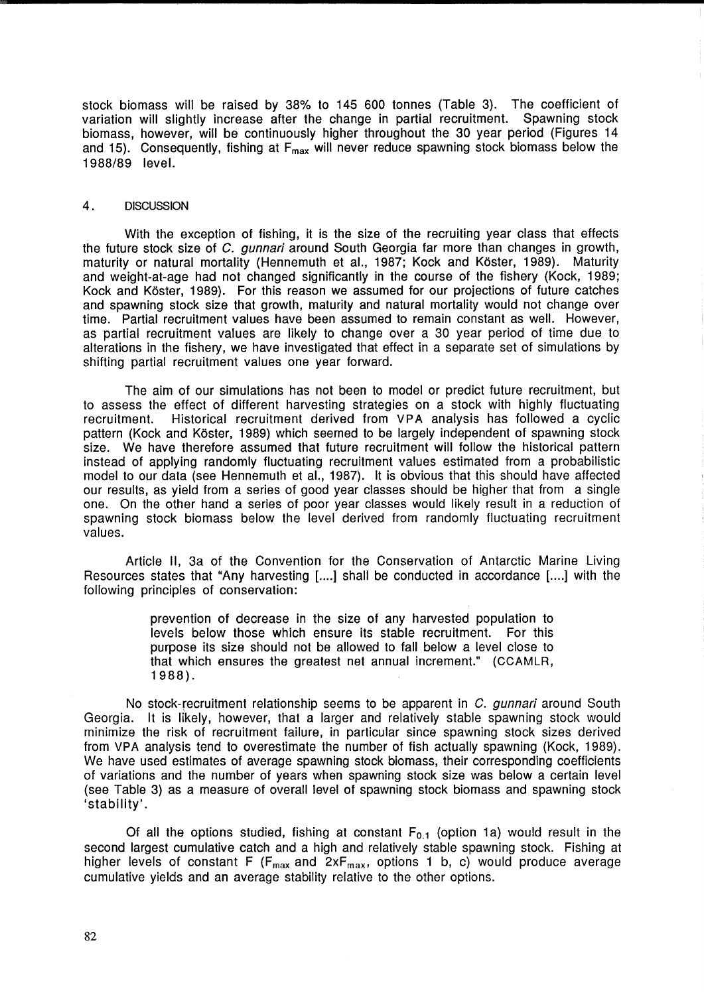stock biomass will be raised by 38% to 145 600 tonnes (Table 3). The coefficient of variation will slightly increase after the change in partial recruitment. Spawning stock biomass, however, will be continuously higher throughout the 30 year period (Figures 14 and 15). Consequently, fishing at  $F_{\text{max}}$  will never reduce spawning stock biomass below the 1988/89 level.

### 4. DISCUSSION

With the exception of fishing, it is the size of the recruiting year class that effects the future stock size of C. gunnari around South Georgia far more than changes in growth, maturity or natural mortality (Hennemuth et al., 1987; Kock and Koster, 1989). Maturity and weight-at-age had not changed significantly in the course of the fishery (Kock, 1989; Kock and Koster, 1989). For this reason we assumed for our projections of future catches and spawning stock size that growth, maturity and natural mortality would not change over time. Partial recruitment values have been assumed to remain constant as well. However, as partial recruitment values are likely to change over a 30 year period of time due to alterations in the fishery, we have investigated that effect in a separate set of simulations by shifting partial recruitment values one year forward.

The aim of our simulations has not been to model or predict future recruitment, but to assess the effect of different harvesting strategies on a stock with highly fluctuating recruitment. Historical recruitment derived from VPA analysis has followed a cyclic pattern (Kock and Koster, 1989) which seemed to be largely independent of spawning stock size. We have therefore assumed that future recruitment will follow the historical pattern instead of applying randomly fluctuating recruitment values estimated from a probabilistic model to our data (see Hennemuth et al., 1987). It is obvious that this should have affected our results, as yield from a series of good year classes should be higher that from a single one. On the other hand a series of poor year classes would likely result in a reduction of spawning stock biomass below the level derived from randomly fluctuating recruitment values.

Article 11, 3a of the Convention for the Conservation of Antarctic Marine Living Resources states that "Any harvesting [....] shall be conducted in accordance [....] with the following principles of conservation:

> prevention of decrease in the size of any harvested population to levels below those which ensure its stable recruitment. For this purpose its size should not be allowed to fall below a level close to that which ensures the greatest net annual increment." (CCAMLR, 1988).

No stock-recruitment relationship seems to be apparent in C. *qunnari* around South Georgia. It is likely, however, that a larger and relatively stable spawning stock would minimize the risk of recruitment failure, in particular since spawning stock sizes derived from VPA analysis tend to overestimate the number of fish actually spawning (Kock, 1989). We have used estimates of average spawning stock biomass, their corresponding coefficients of variations and the number of years when spawning stock size was below a certain level (see Table 3) as a measure of overall level of spawning stock biomass and spawning stock 'stability'.

Of all the options studied, fishing at constant  $F_{0,1}$  (option 1a) would result in the second largest cumulative catch and a high and relatively stable spawning stock. Fishing at higher levels of constant  $F$  ( $F_{max}$  and  $2xF_{max}$ , options 1 b, c) would produce average cumulative yields and an average stability relative to the other options.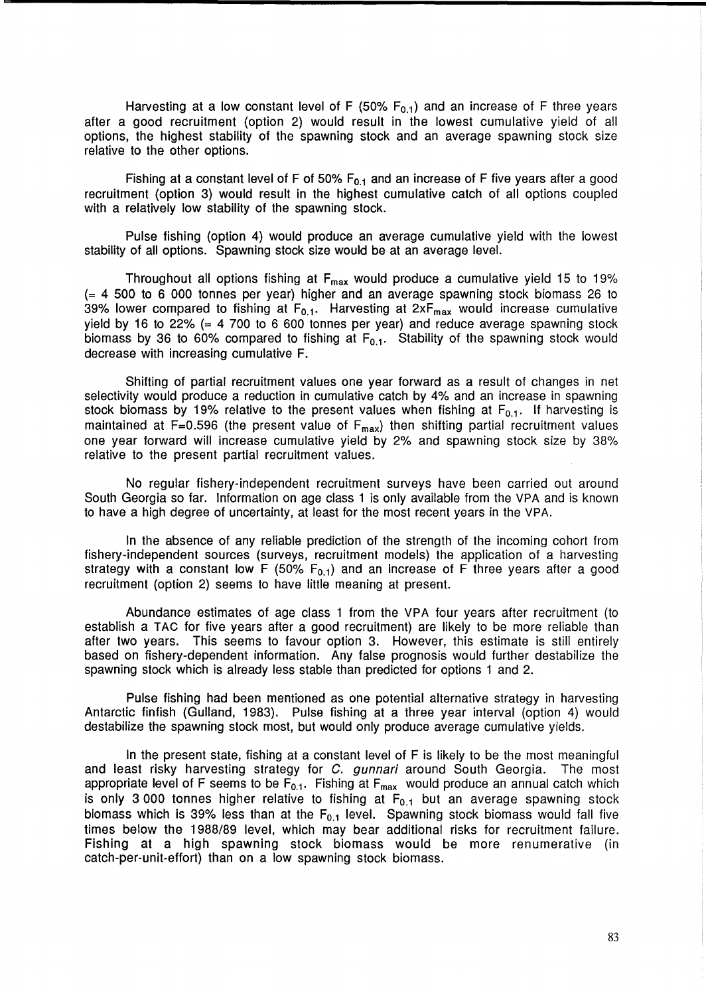Harvesting at a low constant level of F (50%  $F_{0,1}$ ) and an increase of F three years after a good recruitment (option 2) would result in the lowest cumulative yield of all options, the highest stability of the spawning stock and an average spawning stock size relative to the other options.

Fishing at a constant level of F of 50%  $F_{0.1}$  and an increase of F five years after a good recruitment (option 3) would result in the highest cumulative catch of all options coupled with a relatively low stability of the spawning stock.

Pulse fishing (option 4) would produce an average cumulative yield with the lowest stability of all options. Spawning stock size would be at an average level.

Throughout all options fishing at  $F_{\text{max}}$  would produce a cumulative yield 15 to 19% (= 4 500 to 6 000 tonnes per year) higher and an average spawning stock biomass 26 to 39% lower compared to fishing at  $F_{0,1}$ . Harvesting at  $2xF_{max}$  would increase cumulative yield by 16 to 22%  $(= 4, 700, 6, 600, 600, 600)$  tonnes per year) and reduce average spawning stock biomass by 36 to 60% compared to fishing at  $F_{0,1}$ . Stability of the spawning stock would decrease with increasing cumulative F.

Shifting of partial recruitment values one year forward as a result of changes in net selectivity would produce a reduction in cumulative catch by 4% and an increase in spawning stock biomass by 19% relative to the present values when fishing at  $\mathsf{F_{0.1}}.$  If harvesting is maintained at F=0.596 (the present value of  $F_{max}$ ) then shifting partial recruitment values one year forward will increase cumulative yield by 2% and spawning stock size by 38% relative to the present partial recruitment values.

No regular fishery-independent recruitment surveys have been carried out around South Georgia so far. Information on age class 1 is only available from the VPA and is known to have a high degree of uncertainty, at least for the most recent years in the VPA.

In the absence of any reliable prediction of the strength of the incoming cohort from fishery-independent sources (surveys, recruitment models) the application of a harvesting strategy with a constant low F (50%  $F_{0,1}$ ) and an increase of F three years after a good recruitment (option 2) seems to have little meaning at present.

Abundance estimates of age class 1 from the VPA four years after recruitment (to establish a TAC for five years after a good recruitment) are likely to be more reliable than after two years. This seems to favour option 3. However, this estimate is still entirely based on fishery-dependent information. Any false prognosis would further destabilize the spawning stock which is already less stable than predicted for options 1 and 2.

Pulse fishing had been mentioned as one potential alternative strategy in harvesting Antarctic finfish (Gulland, 1983). Pulse fishing at a three year interval (option 4) would destabilize the spawning stock most, but would only produce average cumulative yields.

In the present state, fishing at a constant level of F is likely to be the most meaningful and least risky harvesting strategy for C. gunnari around South Georgia. The most appropriate level of F seems to be  $F_{0.1}$ . Fishing at  $F_{\text{max}}$  would produce an annual catch which is only 3 000 tonnes higher relative to fishing at  $F_{0.1}$  but an average spawning stock biomass which is 39% less than at the  $F_{0.1}$  level. Spawning stock biomass would fall five times below the 1988/89 level, which may bear additional risks for recruitment failure. Fishing at a high spawning stock biomass would be more renumerative (in catch-per-unit-effort) than on a low spawning stock biomass.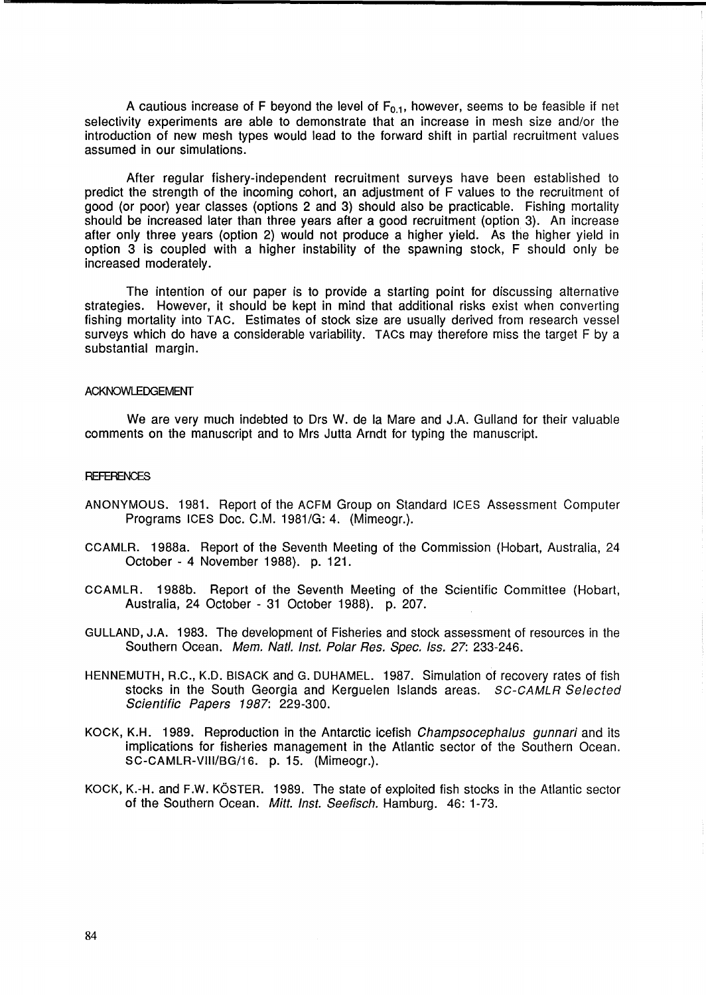A cautious increase of F beyond the level of  $F_{0.1}$ , however, seems to be feasible if net selectivity experiments are able to demonstrate that an increase in mesh size and/or the introduction of new mesh types would lead to the forward shift in partial recruitment values assumed in our simulations.

After regular fishery-independent recruitment surveys have been established to predict the strength of the incoming cohort, an adjustment of F values to the recruitment of good (or poor) year classes (options 2 and 3) should also be practicable. Fishing mortality should be increased later than three years after a good recruitment (option 3). An increase after only three years (option 2) would not produce a higher yield. As the higher yield in option 3 is coupled with a higher instability of the spawning stock, F should only be increased moderately.

The intention of our paper is to provide a starting point for discussing alternative strategies. However, it should be kept in mind that additional risks exist when converting fishing mortality into TAC. Estimates of stock size are usually derived from research vessel surveys which do have a considerable variability. TACs may therefore miss the target F by a substantial margin.

#### ACKNOWLEDGEMENT

We are very much indebted to Drs W. de la Mare and J.A. Gulland for their valuable comments on the manuscript and to Mrs Jutta Arndt for typing the manuscript.

### **REFERENCES**

- ANONYMOUS. 1981. Report of the ACFM Group on Standard ICES Assessment Computer Programs ICES Doc. C.M. 1981/G: 4. (Mimeogr.).
- CCAMLR. 1988a. Report of the Seventh Meeting of the Commission (Hobart, Australia, 24 October - 4 November 1988). p. 121.
- CCAMLR. 1988b. Report of the Seventh Meeting of the Scientific Committee (Hobart, Australia, 24 October - 31 October 1988). p. 207.
- GULLAND, J.A. 1983. The development of Fisheries and stock assessment of resources in the Southern Ocean. Mem. Natl. Inst. Polar Res. Spec. Iss. 27: 233-246.
- HENNEMUTH, R.C., K.D. 81SACK and G. DUHAMEL. 1987. Simulation of recovery rates of fish stocks in the South Georgia and Kerguelen Islands areas. SC-CAMLR Selected Scientific Papers 1987: 229-300.
- KOCK, K.H. 1989. Reproduction in the Antarctic icefish Champsocephalus gunnari and its implications for fisheries management in the Atlantic sector of the Southern Ocean. SC-CAMLR-VIII/8G/1S. p. 15. (Mimeogr.).
- KOCK, K.-H. and F.W. KÖSTER. 1989. The state of exploited fish stocks in the Atlantic sector of the Southern Ocean. Mitt. Inst. Seefisch. Hamburg. 46: 1-73.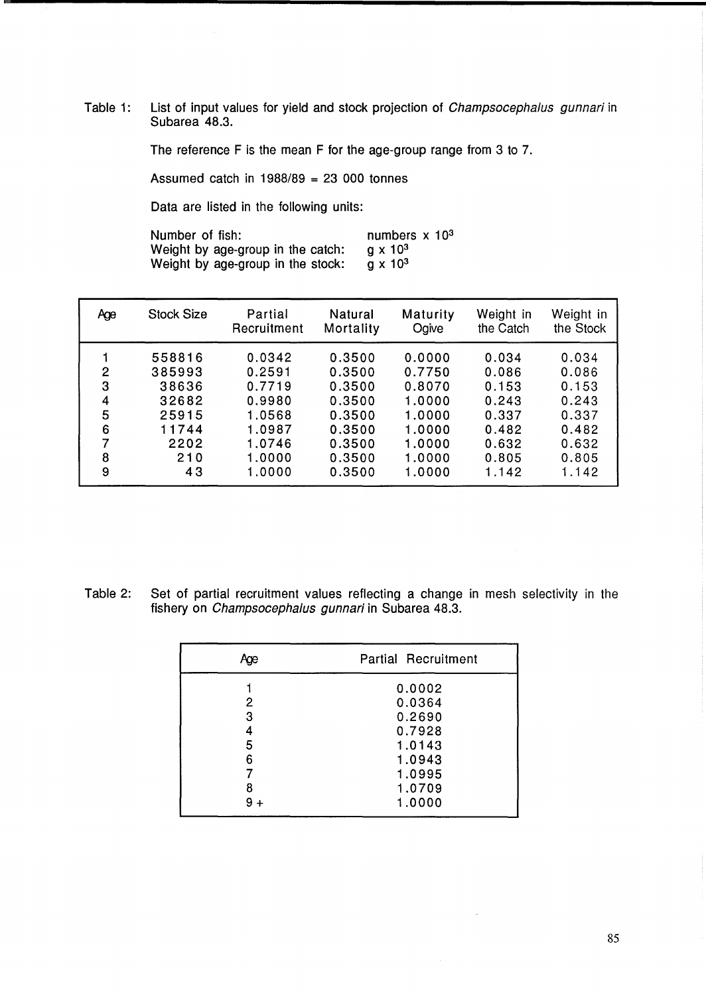Table 1: List of input values for yield and stock projection of *Champsocephalus gunnari* in Subarea<sup>'</sup>48.3.

The reference F is the mean F for the age-group range from 3 to 7.

Assumed catch in  $1988/89 = 23000$  tonnes

Data are listed in the following units:

Number of fish: Weight by age-group in the catch: numbers x 10<sup>3</sup>  $g \times 10^3$ <br> $g \times 10^3$ Weight by age-group in the stock:

| Age            | <b>Stock Size</b> | Partial<br>Recruitment | Natural<br>Mortality | Maturity<br>Ogive | Weight in<br>the Catch | Weight in<br>the Stock |
|----------------|-------------------|------------------------|----------------------|-------------------|------------------------|------------------------|
|                | 558816            | 0.0342                 | 0.3500               | 0.0000            | 0.034                  | 0.034                  |
| $\overline{2}$ | 385993            | 0.2591                 | 0.3500               | 0.7750            | 0.086                  | 0.086                  |
| 3              | 38636             | 0.7719                 | 0.3500               | 0.8070            | 0.153                  | 0.153                  |
| 4              | 32682             | 0.9980                 | 0.3500               | 1.0000            | 0.243                  | 0.243                  |
| 5              | 25915             | 1.0568                 | 0.3500               | 1.0000            | 0.337                  | 0.337                  |
| 6              | 11744             | 1.0987                 | 0.3500               | 1.0000            | 0.482                  | 0.482                  |
| 7              | 2202              | 1.0746                 | 0.3500               | 1.0000            | 0.632                  | 0.632                  |
| 8              | 210               | 1.0000                 | 0.3500               | 1.0000            | 0.805                  | 0.805                  |
| 9              | 43                | 1.0000                 | 0.3500               | 1.0000            | 1.142                  | 1.142                  |

Table 2: Set of partial recruitment values reflecting a change in mesh selectivity in the fishery on Champsocephalus gunnari in Subarea 48.3.

| Aœ         | <b>Partial Recruitment</b> |
|------------|----------------------------|
|            | 0.0002                     |
| 2<br>3     | 0.0364<br>0.2690           |
|            | 0.7928                     |
| 5<br>6     | 1.0143<br>1.0943           |
|            | 1.0995                     |
| 8<br>$9 +$ | 1.0709<br>1.0000           |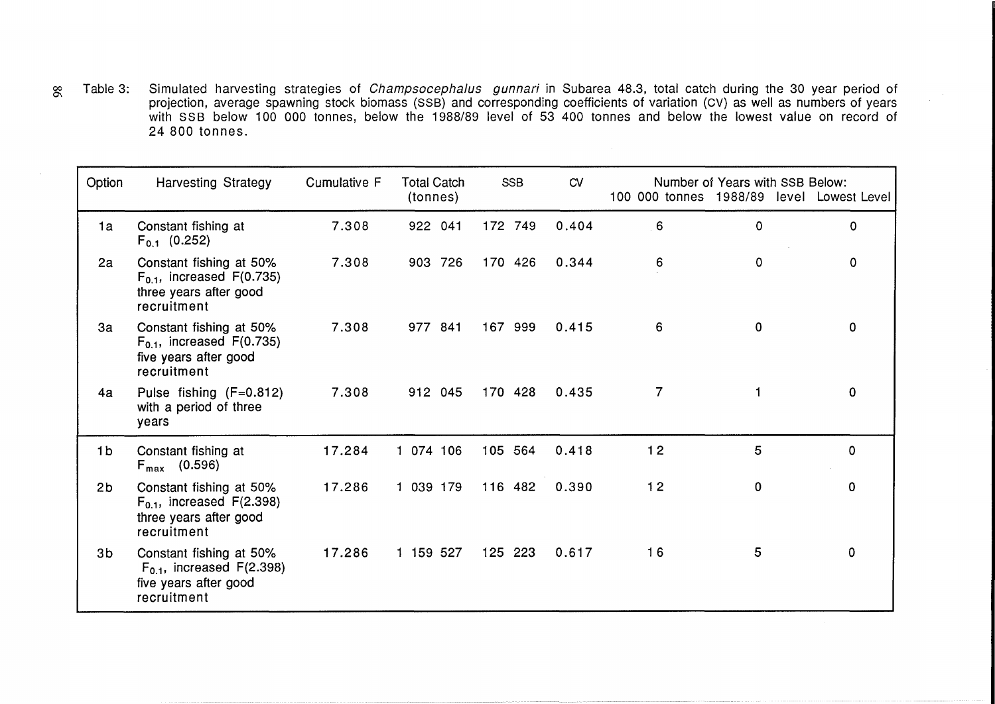00 Table 3: Simulated harvesting strategies of Champsocephalus gunnari in Subarea 48.3, total catch during the 30 year period of projection, average spawning stock biomass (SSB) and corresponding coefficients of variation (CV) as well as numbers of years with SSB below 100 000 tonnes, below the 1988/89 level of 53 400 tonnes and below the lowest value on record of 24 800 tonnes.

| Option         | <b>Harvesting Strategy</b>                                                                           | Cumulative F | <b>Total Catch</b><br>(tonnes) | <b>SSB</b> | CVI   | 100 000 tonnes 1988/89 | Number of Years with SSB Below: | level Lowest Level |
|----------------|------------------------------------------------------------------------------------------------------|--------------|--------------------------------|------------|-------|------------------------|---------------------------------|--------------------|
| 1a             | Constant fishing at<br>$F_{0,1}$ (0.252)                                                             | 7.308        | 922 041                        | 172 749    | 0.404 | 6                      | 0                               | $\Omega$           |
| 2a             | Constant fishing at 50%<br>$F_{0.1}$ , increased $F(0.735)$<br>three years after good<br>recruitment | 7.308        | 903 726                        | 170 426    | 0.344 | 6                      | 0                               | 0                  |
| 3a             | Constant fishing at 50%<br>$F_{0.1}$ , increased $F(0.735)$<br>five years after good<br>recruitment  | 7.308        | 977 841                        | 167 999    | 0.415 | 6                      | 0                               | $\mathbf 0$        |
| 4a             | Pulse fishing (F=0.812)<br>with a period of three<br>years                                           | 7.308        | 912 045                        | 170 428    | 0.435 | 7                      | 1                               | $\mathbf 0$        |
| 1 <sub>b</sub> | Constant fishing at<br>$F_{\text{max}}$ (0.596)                                                      | 17.284       | 1 074 106                      | 105 564    | 0.418 | 12                     | 5                               | 0                  |
| 2 <sub>b</sub> | Constant fishing at 50%<br>$F_{0.1}$ , increased $F(2.398)$<br>three years after good<br>recruitment | 17.286       | 1 039 179                      | 116 482    | 0.390 | $12$                   | 0                               | 0                  |
| 3 <sub>b</sub> | Constant fishing at 50%<br>$F_{0.1}$ , increased $F(2.398)$<br>five years after good<br>recruitment  | 17.286       | 1 159 527                      | 125 223    | 0.617 | 16                     | 5                               | $\mathbf 0$        |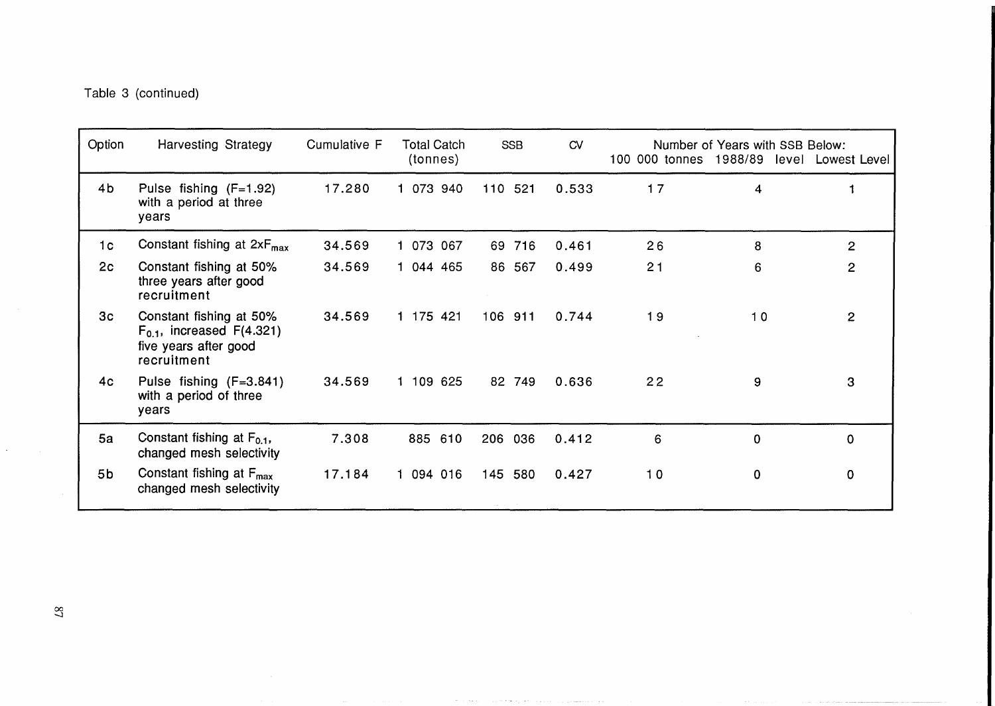Table 3 (continued)

| Option         | <b>Harvesting Strategy</b>                                                                          | Cumulative F | <b>Total Catch</b><br>(tonnes) | <b>SSB</b>  | CVI   |    | Number of Years with SSB Below:<br>100 000 tonnes 1988/89 level Lowest Level |                |
|----------------|-----------------------------------------------------------------------------------------------------|--------------|--------------------------------|-------------|-------|----|------------------------------------------------------------------------------|----------------|
| 4 <sub>b</sub> | Pulse fishing (F=1.92)<br>with a period at three<br>years                                           | 17.280       | 073 940                        | 110 521     | 0.533 | 17 | 4                                                                            |                |
| 1 <sub>c</sub> | Constant fishing at $2xF_{max}$                                                                     | 34.569       | 073 067                        | 716<br>69.  | 0.461 | 26 | 8                                                                            | $\mathbf{2}$   |
| 2c             | Constant fishing at 50%<br>three years after good<br>recruitment                                    | 34.569       | 1 044 465                      | 86 567      | 0.499 | 21 | 6                                                                            | $\overline{2}$ |
| 3 <sub>c</sub> | Constant fishing at 50%<br>$F_{0,1}$ , increased $F(4.321)$<br>five years after good<br>recruitment | 34.569       | 1 175 421                      | 106 911     | 0.744 | 19 | 10                                                                           | $\overline{2}$ |
| 4 <sub>c</sub> | Pulse fishing (F=3.841)<br>with a period of three<br>years                                          | 34.569       | 1 109 625                      | 82 749      | 0.636 | 22 | 9                                                                            | 3              |
| 5a             | Constant fishing at $F_{0,1}$ ,<br>changed mesh selectivity                                         | 7.308        | 885 610                        | 206<br>036  | 0.412 | 6  | 0                                                                            | 0              |
| 5 <sub>b</sub> | Constant fishing at $F_{\text{max}}$<br>changed mesh selectivity                                    | 17.184       | 094 016<br>1.                  | 145 580     | 0.427 | 10 | 0                                                                            | 0              |
|                |                                                                                                     |              |                                | the company |       |    |                                                                              |                |

the company's

والمتحادثين

 $\mathbf{A}^{(1)}$  and  $\mathbf{A}^{(2)}$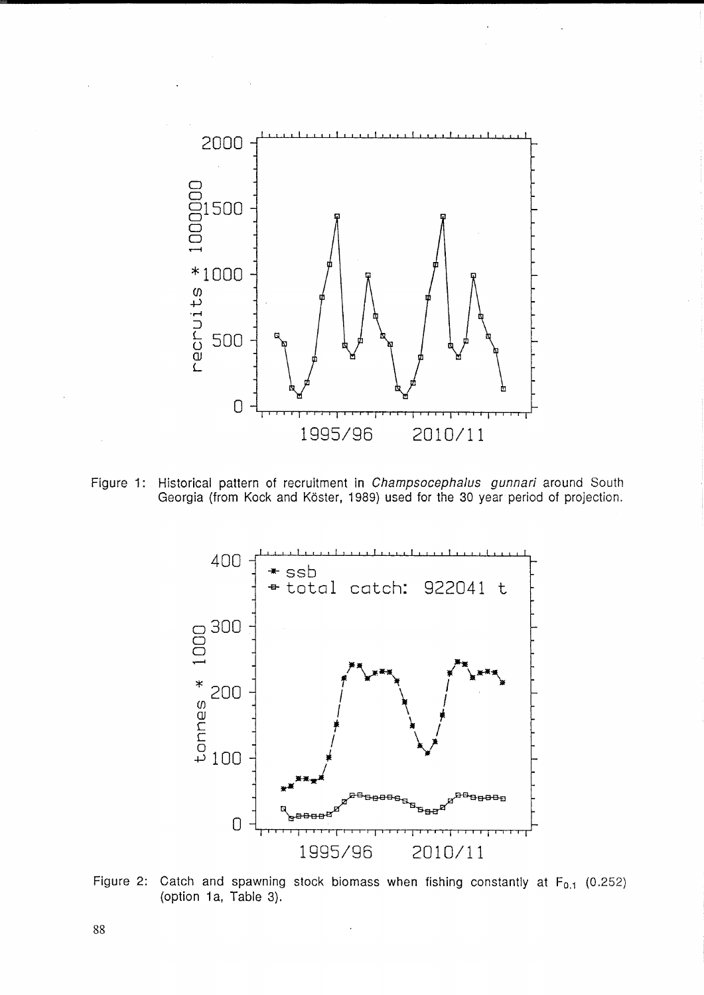

Figure 1: Historical pattern of recruitment in *Champsocephalus gunnari* around South Georgia (from Kock and Koster, 1989) used for the 30 year period of projection.



Figure 2: Catch and spawning stock biomass when fishing constantly at  $F_{0,1}$  (0.252) (option 1a, Table 3).

88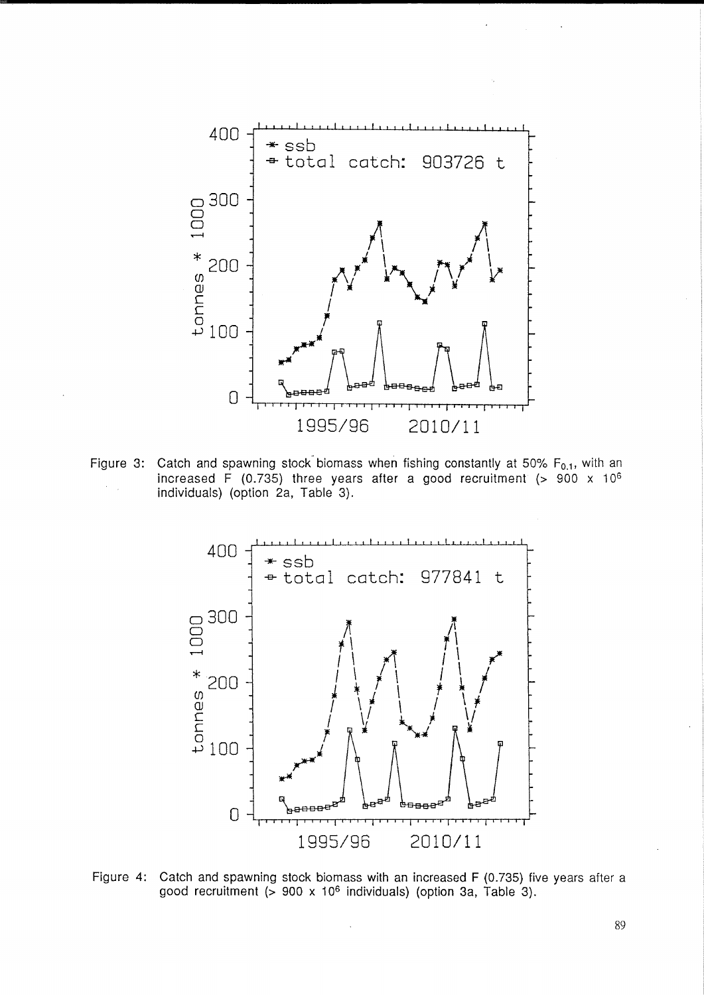

Figure 3: Catch and spawning stock biomass when fishing constantly at 50%  $F_{0.1}$ , with an increased F (0.735) three years after a good recruitment (> 900 x 10<sup>6</sup> individuals) (option 2a, Table 3).



Figure 4: Catch and spawning stock biomass with an increased F (0.735) five years after a good recruitment (> 900 x 106 individuals) (option 3a, Table 3).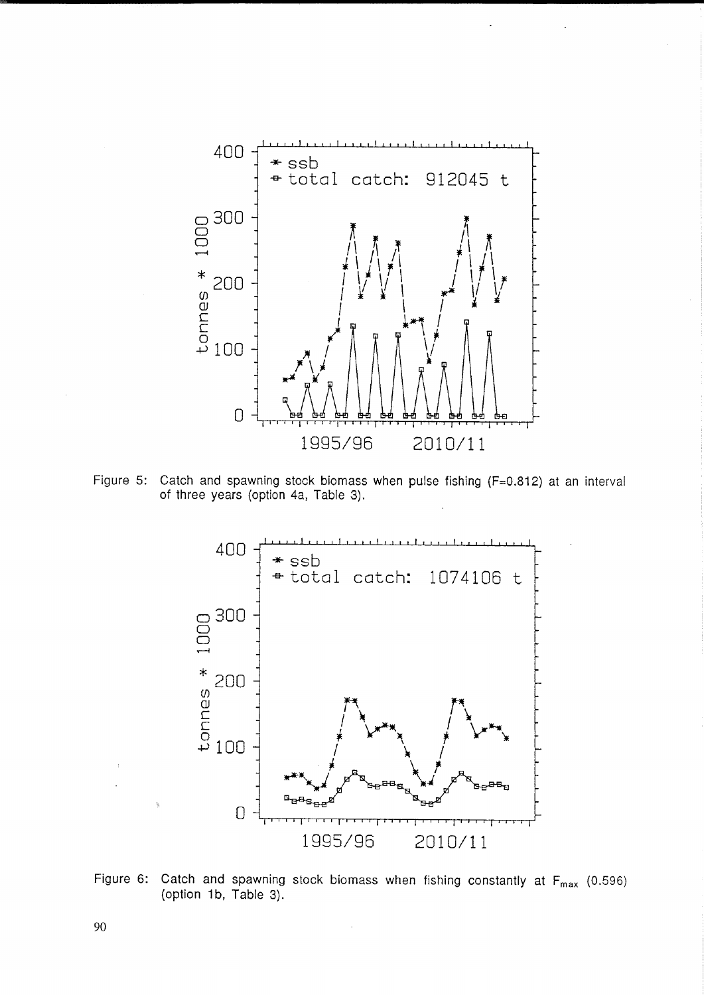

Figure 5: Catch and spawning stock biomass when pulse fishing (F=0.812) at an interval of three years (option 4a, Table 3).



Figure 6: Catch and spawning stock biomass when fishing constantly at  $F_{max}$  (0.596) (option 1b, Table 3).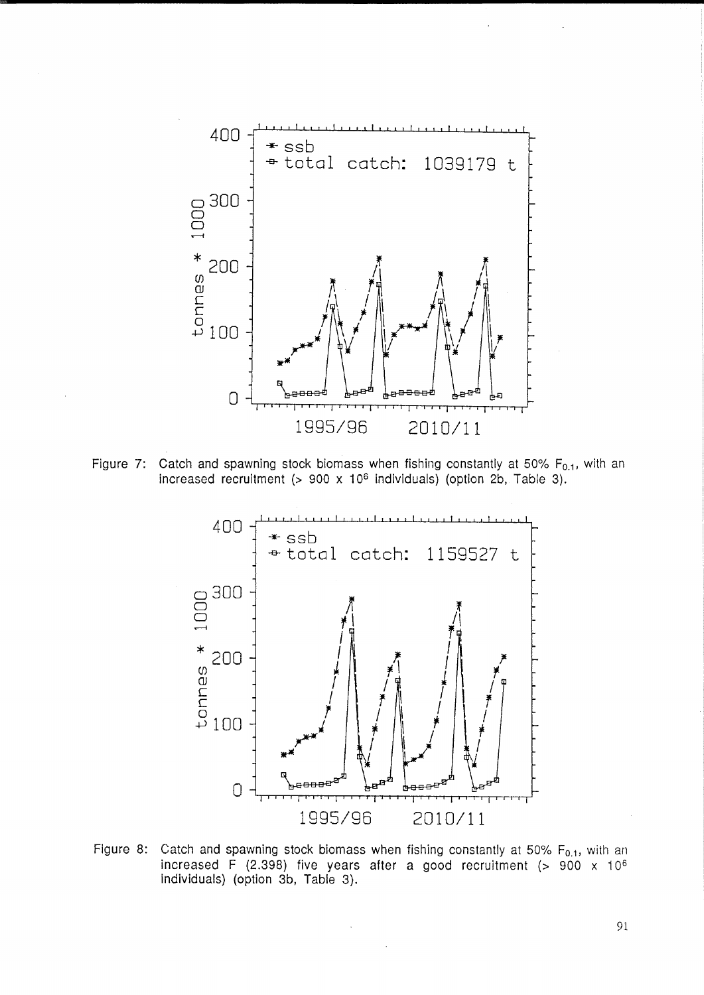

Figure 7: Catch and spawning stock biomass when fishing constantly at 50%  $F_{0.1}$ , with an increased recruitment  $(> 900 \times 10^6$  individuals) (option 2b, Table 3).



Figure 8: Catch and spawning stock biomass when fishing constantly at 50%  $F_{0,1}$ , with an increased F (2.398) five years after a good recruitment (> 900 x 106 individuals) (option 3b, Table 3).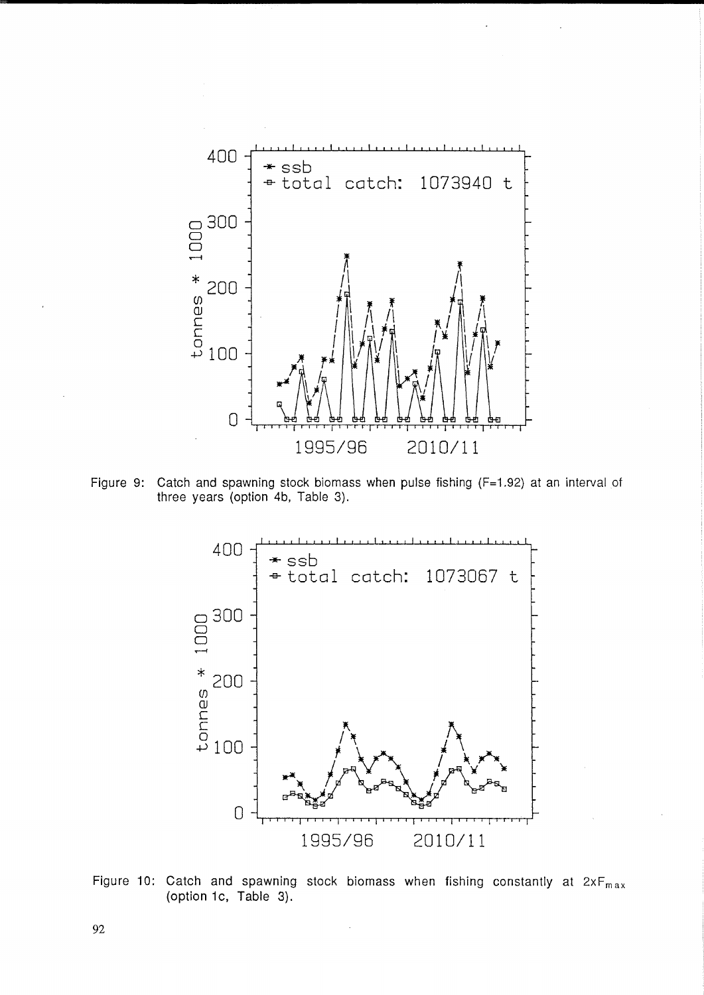

Figure 9: Catch and spawning stock biomass when pulse fishing (F=1.92) at an interval of three years (option 4b, Table 3).



Figure 10: Catch and spawning stock biomass when fishing constantly at  $2xF_{max}$ (option 1c, Table 3).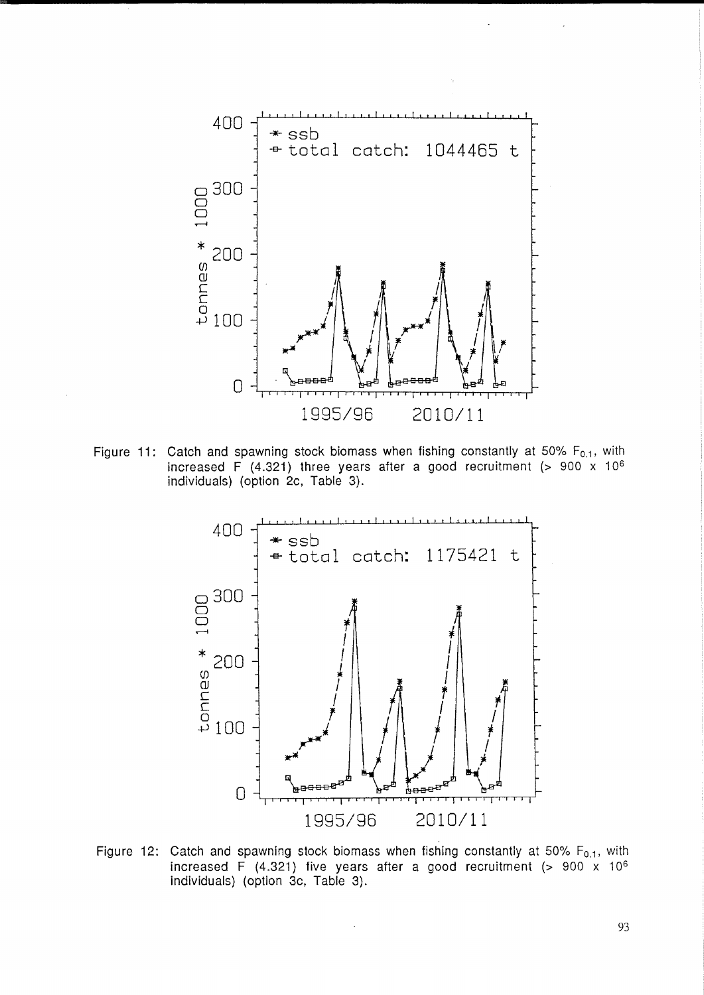

Figure 11: Catch and spawning stock biomass when fishing constantly at 50% F<sub>0.1</sub>, with increased F (4.321) three years after a good recruitment (> 900 x  $10^6$ individuals) (option 2c, Table 3).



Figure 12: Catch and spawning stock biomass when fishing constantly at 50%  $F_{0.1}$ , with increased F (4.321) five years after a good recruitment  $(> 900 \times 10^6$ individuals) (option 3c, Table 3).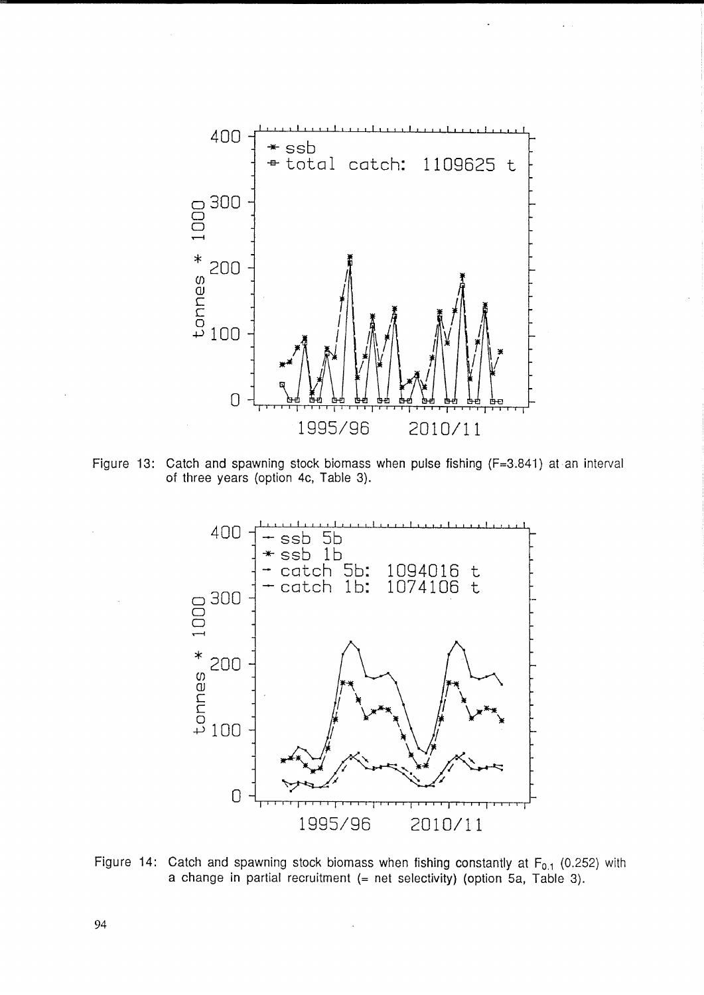

Figure 13: Catch and spawning stock biomass when pulse fishing (F=3.841) at an interval of three years (option 4c, Table 3).



Figure 14: Catch and spawning stock biomass when fishing constantly at  $F_{0.1}$  (0.252) with a change in partial recruitment (= net selectivity) (option Sa, Table 3).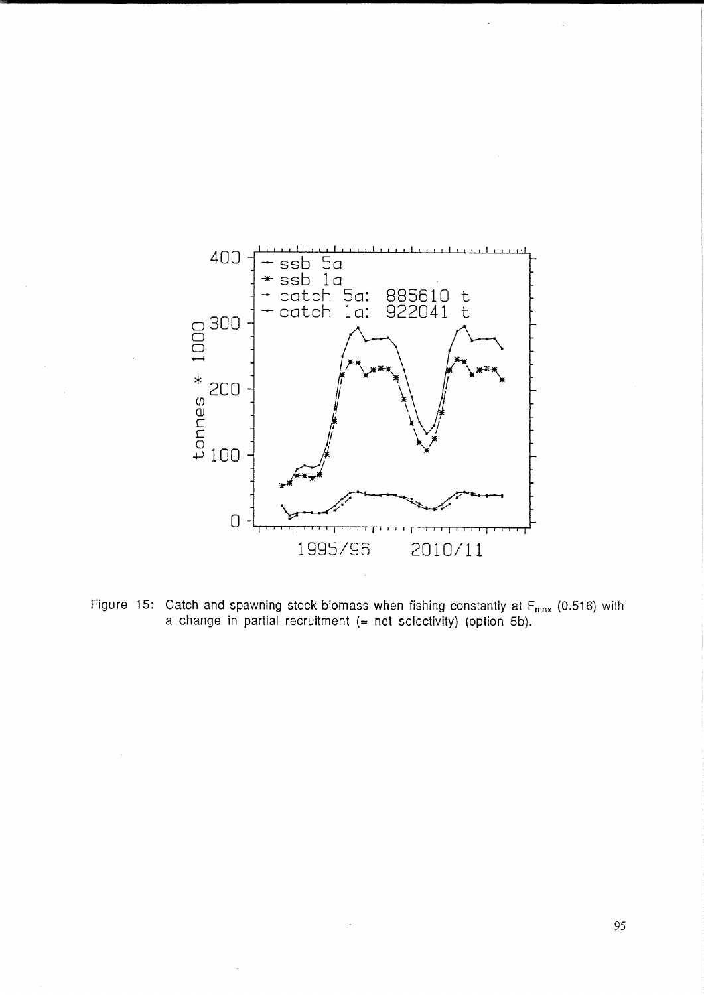

Figure 15: Catch and spawning stock biomass when fishing constantly at  $F_{max}$  (0.516) with a change in partial recruitment  $(=$  net selectivity) (option 5b).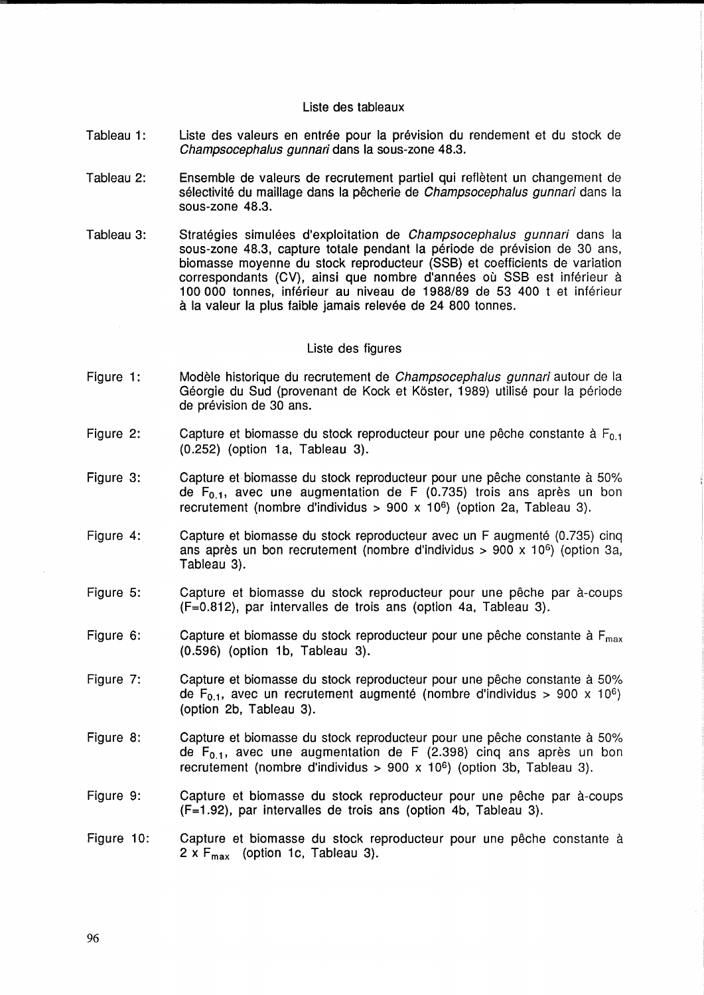### Liste des tableaux

- Tableau 1: Liste des valeurs en entrée pour la prévision du rendement et du stock de Champsocephalus gunnari dans la sous-zone 48.3.
- Tableau 2: Ensemble de valeurs de recrutement partiel qui refletent un changement de sélectivité du maillage dans la pêcherie de Champsocephalus gunnari dans la sous-zone 48.3.
- Tableau 3: Stratégies simulées d'exploitation de Champsocephalus gunnari dans la sous-zone 48.3, capture totale pendant la periode de prevision de 30 ans, biomasse moyenne du stock reproducteur (SSB) et coefficients de variation correspondants (CV), ainsi que nombre d'années où SSB est inférieur à 100000 tonnes, inferieur au niveau de 1988/89 de 53 400 t et inferieur à la valeur la plus faible jamais relevée de 24 800 tonnes.

### Liste des figures

- Figure 1: Modèle historique du recrutement de Champsocephalus gunnari autour de la Géorgie du Sud (provenant de Kock et Köster, 1989) utilisé pour la période de prévision de 30 ans.
- Figure 2: Capture et biomasse du stock reproducteur pour une pêche constante à  $F_{0,1}$ (0.252) (option 1a, Tableau 3).
- Figure 3: Capture et biomasse du stock reproducteur pour une pêche constante à 50% de  $F_{0.1}$ , avec une augmentation de F (0.735) trois ans après un bon recrutement (nombre d'individus > 900 x 10<sup>6</sup>) (option 2a, Tableau 3).
- Figure 4: Capture et biomasse du stock reproducteur avec un F augmenté (0.735) cinq ans après un bon recrutement (nombre d'individus > 900 x 10<sup>6</sup>) (option 3a, Tableau 3).
- Figure 5: Capture et biomasse du stock reproducteur pour une pêche par à-coups (F=0.812), par intervalles de trois ans (option 4a, Tableau 3).
- Figure 6: Capture et biomasse du stock reproducteur pour une pêche constante à  $F_{\text{max}}$ (0.596) (option 1b, Tableau 3).
- Figure 7: Capture et biomasse du stock reproducteur pour une pêche constante à 50% de F<sub>0.1</sub>, avec un recrutement augmenté (nombre d'individus > 900 x 10<sup>6</sup>) (option 2b, Tableau 3).
- Figure 8: Capture et biomasse du stock reproducteur pour une pêche constante à 50% de  $F_{0.1}$ , avec une augmentation de F (2.398) cinq ans après un bon recrutement (nombre d'individus >  $900 \times 10^6$ ) (option 3b, Tableau 3).
- Figure 9: Capture et biomasse du stock reproducteur pour une pêche par à-coups (F=1.92), par intervalles de trois ans (option 4b, Tableau 3).
- Figure 10: Capture et biomasse du stock reproducteur pour une pêche constante à  $2 \times F_{\text{max}}$  (option 1c, Tableau 3).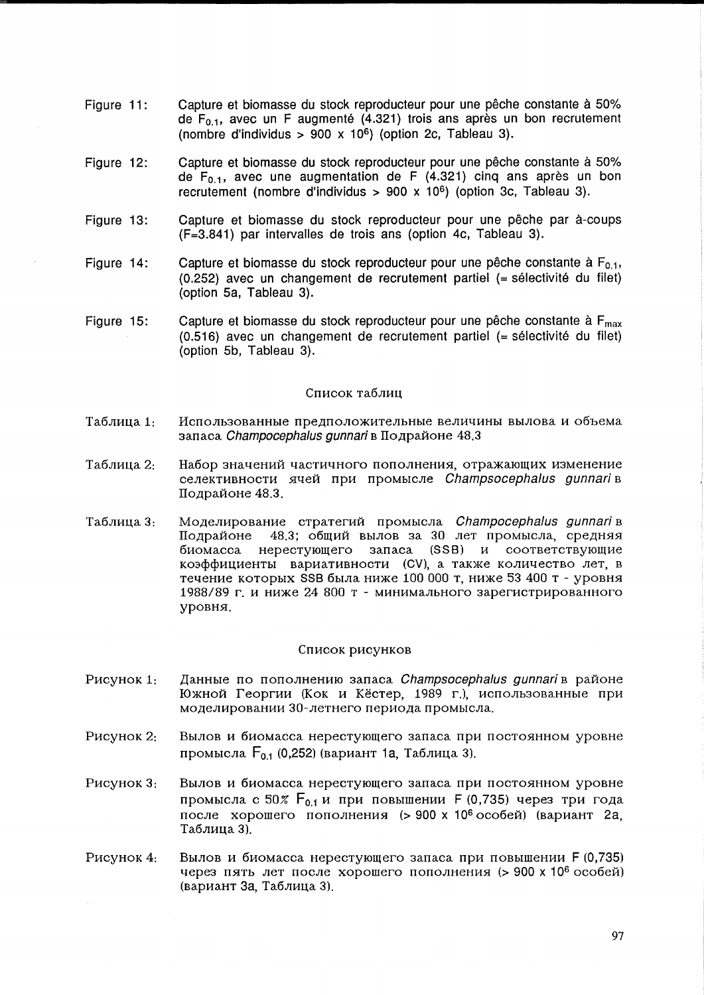- Figure **11:**  Capture et biomasse du stock reproducteur pour une pêche constante à 50% de  $F_{0.1}$ , avec un F augmenté (4.321) trois ans après un bon recrutement (nombre d'individus > 900 x 10<sup>6</sup>) (option 2c, Tableau 3).
- Figure 12: Capture et biomasse du stock reproducteur pour une pêche constante à 50% de  $F_{0.1}$ , avec une augmentation de F (4.321) cinq ans après un bon recrutement (nombre d'individus >  $900 \times 10^6$ ) (option 3c, Tableau 3).
- Figure 13: Capture et biomasse du stock reproducteur pour une peche par a-coups (F=3.841) par intervalles de trois ans (option 4c, Tableau 3).
- Figure 14: Capture et biomasse du stock reproducteur pour une pêche constante à  $F_{0,1}$ , (0.252) avec un changement de recrutement partiel (= selectivite du filet) (option Sa, Tableau 3).
- Figure 15: Capture et biomasse du stock reproducteur pour une pêche constante à  $F_{\text{max}}$ (0.516) avec un changement de recrutement partiel (= selectivite du filet) (option Sb, Tableau 3).

## Список таблиц

- Таблица 1: Использованные предположительные величины вылова и объема запаса *Champocephalus gunnari* в Подрайоне 48.3
- Таблица 2: Набор значений частичного пополнения, отражающих изменение селективности ячей при промысле Champsocephalus gunnari в Подрайоне 48.3.
- Таблица 3: Моделирование стратегий промысла Champocephalus gunnari в Подрайоне 48.3; общий вылов за 30 лет промысла, средняя биомасса нерестующего запаса  $(SSB)$  и соответствующие коэффициенты вариативности (CV), а также количество лет в течение которых SSB была ниже 100 000 т, ниже 53 400 т - уровня 1988/89 г. и ниже 24 800 т - минимального зарегистрированного ypOBH5I.

#### Список рисунков

- P<sub>M</sub>C<sub>y</sub> H<sub>c</sub> 1: Данные по пополнению запаса Champsocephalus gunnari в районе Южной Георгии (Кок и Кёстер, 1989 г.), использованные при моделировании 30-летнего периода промысла.
- P<sub>HCVHOK</sub> 2: Вылов и биомасса нерестующего запаса при постоянном уровне промысла F<sub>0.1</sub> (0,252) (вариант <mark>1а,</mark> Таблица 3).
- P<sub>HC</sub>y<sub>HOK</sub> 3: Вылов и биомасса нерестующего запаса при постоянном уровне промысла с 50% F<sub>0.1</sub> и при повышении F (0,735) через три года после хорошего пополнения (> 900 х 10<sup>6</sup> особей) (вариант 2a, Таблица 3).
- P<sub>HC</sub>y<sub>HOK</sub> 4: Вылов и биомасса нерестующего запаса при повышении F (0,735) через пять лет после хорошего пополнения (> 900 х 10<sup>6</sup> особей) (вариант За, Таблица 3).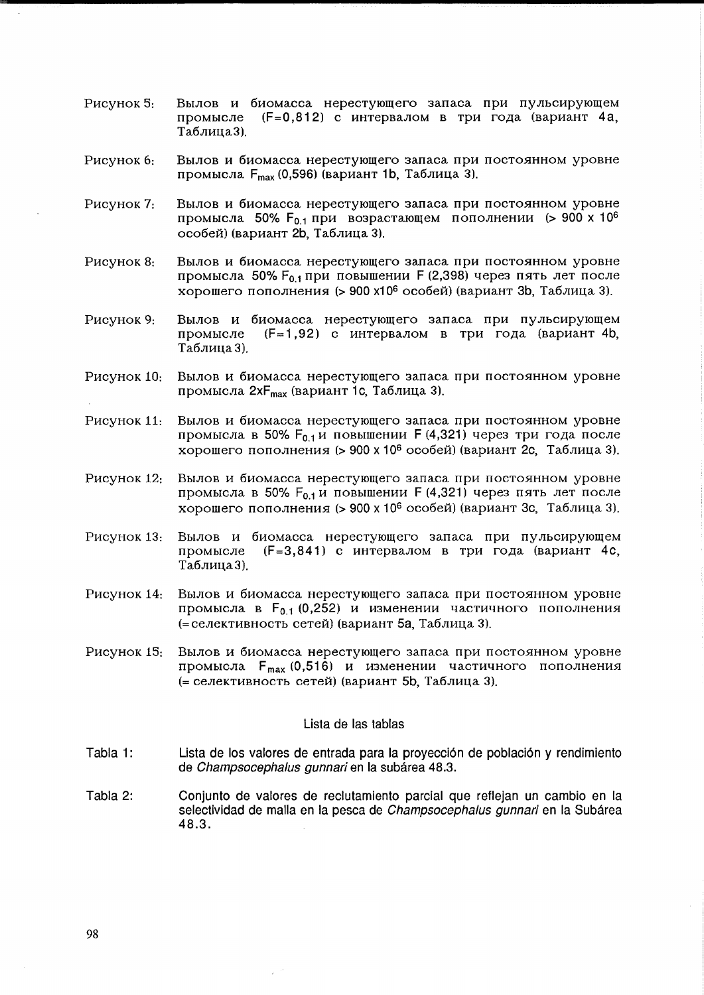- Рисунок 5: Вылов и биомасса нерестующего запаса при пульсирующем (F=0,812) с интервалом в три года (вариант 4а, промысле Таблица3).
- Рисунок 6: Вылов и биомасса нерестующего запаса при постоянном уровне промысла F<sub>max</sub> (0,596) (вариант 1b, Таблица 3).
- Вылов и биомасса нерестующего запаса при постоянном уровне Рисунок 7: промысла 50%  $F_{0.1}$  при возрастающем пополнении (> 900 х 10<sup>6</sup> особей) (вариант 2b, Таблица 3).
- Рисунок 8: Вылов и биомасса нерестующего запаса при постоянном уровне промысла 50%  $F_{0,1}$  при повышении F (2,398) через пять лет после хорошего пополнения (> 900 х10<sup>6</sup> особей) (вариант 3b, Таблица 3).
- Рисунок 9: Вылов и биомасса нерестующего запаса при пульсирующем (F=1.92) с интервалом в три года (вариант 4b, промысле Таблица 3).
- Рисунок 10: Вылов и биомасса нерестующего запаса при постоянном уровне промысла 2х F<sub>max</sub> (вариант 1с, Таблица 3).
- Вылов и биомасса нерестующего запаса при постоянном уровне Рисунок 11: промысла в 50%  $F_{0,1}$ и повышении F (4,321) через три года после хорошего пополнения (> 900 х 10<sup>6</sup> особей) (вариант 2с. Таблица 3).
- Рисунок 12. Вылов и биомасса нерестующего запаса при постоянном уровне промысла в 50%  $F_{0,1}$ и повышении F (4,321) через пять лет после хорошего пополнения (> 900 х 10<sup>6</sup> особей) (вариант 3с, Таблица 3).
- Рисунок 13: Вылов и биомасса нерестующего запаса при пульсирующем (F=3.841) с интервалом в три года (вариант 4с, промысле Таблица 3).
- Рисунок 14: Вылов и биомасса нерестующего запаса при постоянном уровне промысла в F<sub>0.1</sub> (0,252) и изменении частичного пополнения (= селективность сетей) (вариант 5а, Таблица 3).
- Рисунок 15: Вылов и биомасса нерестующего запаса при постоянном уровне промысла F<sub>max</sub> (0,516) и изменении частичного пополнения (= селективность сетей) (вариант 5b, Таблица 3).

## Lista de las tablas

- Tabla 1: Lista de los valores de entrada para la proyección de población y rendimiento de Champsocephalus gunnari en la subárea 48.3.
- Tabla 2: Conjunto de valores de reclutamiento parcial que reflejan un cambio en la selectividad de malla en la pesca de Champsocephalus gunnari en la Subárea  $48.3.$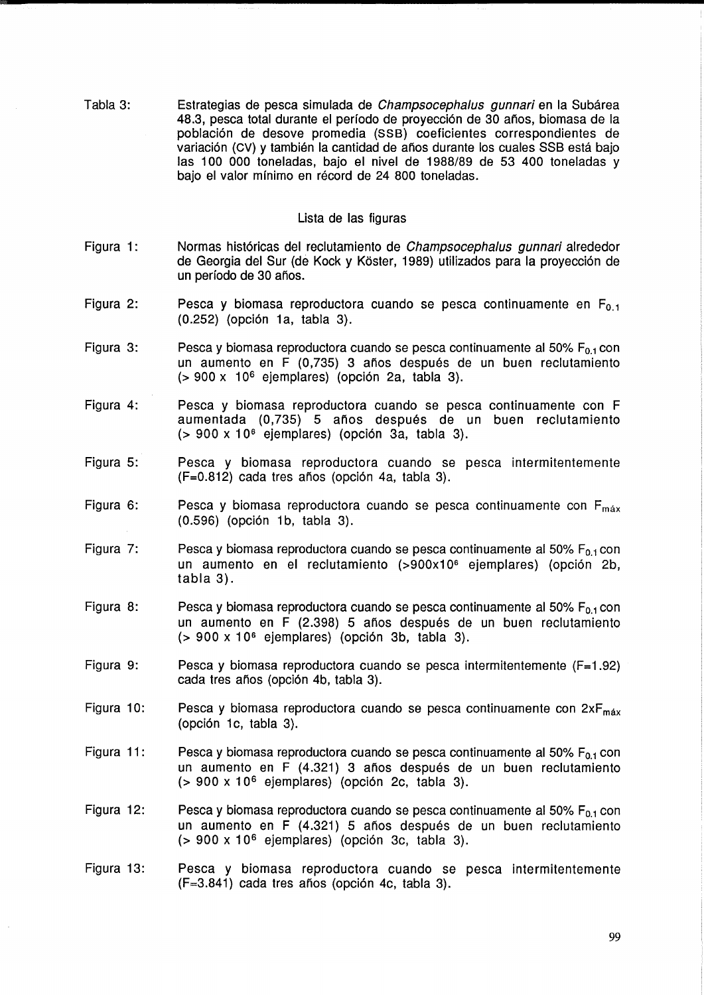Tabla 3: Estrategias de pesca simulada de Champsocephalus qunnari en la Subárea 48.3, pesca total durante el perlodo de proyecci6n de 30 anos, biomasa de la poblaci6n de desove promedia (SS8) coeficientes correspondientes de variación (CV) y también la cantidad de años durante los cuales SSB está bajo las 100 000 toneladas, bajo el nivel de 1988/89 de 53 400 toneladas y bajo el valor mínimo en récord de 24 800 toneladas.

## Lista de las figuras

- Figura 1: Normas históricas del reclutamiento de Champsocephalus gunnari alrededor de Georgia del Sur (de Kock y Köster, 1989) utilizados para la proyección de un período de 30 años.
- Figura 2: Pesca y biomasa reproductora cuando se pesca continuamente en  $F_{0,1}$ (0.252) (opción 1a, tabla 3).
- Figura 3: Pesca y biomasa reproductora cuando se pesca continuamente al 50%  $F_{0,1}$  con un aumento en F (0,735) 3 años después de un buen reclutamiento  $(> 900 \times 10^6$  ejemplares) (opción 2a, tabla 3).
- Figura 4: Pesca y biomasa reproductora cuando se pesca continuamente con F aumentada (0,735) 5 años después de un buen reclutamiento  $(> 900 \times 10^6$  ejemplares) (opción 3a, tabla 3).
- Figura 5: Pesca y biomasa reproductora cuando se pesca intermitentemente  $(F=0.812)$  cada tres años (opción 4a, tabla 3).
- Figura 6: Pesca y biomasa reproductora cuando se pesca continuamente con  $F_{\text{max}}$ (0.596) (opción 1b, tabla 3).
- Figura 7: Pesca y biomasa reproductora cuando se pesca continuamente al 50% F<sub>0.1</sub> con un aumento en el reclutamiento (>900x106 ejemplares) (opci6n 2b, tabla 3).
- Figura 8: Pesca y biomasa reproductora cuando se pesca continuamente al 50%  $F_{0.1}$  con un aumento en F (2.398) 5 años después de un buen reclutamiento  $(> 900 \times 10^6$  ejemplares) (opción 3b, tabla 3).
- Figura 9: Pesca y biomasa reproductora cuando se pesca intermitentemente (F=1.92) cada tres años (opción 4b, tabla 3).
- Figura 10: Pesca y biomasa reproductora cuando se pesca continuamente con  $2xF_{max}$ (opción 1c, tabla 3).
- Figura 11: Pesca y biomasa reproductora cuando se pesca continuamente al 50%  $F_{0.1}$  con un aumento en F (4.321) 3 años después de un buen reclutamiento  $($  > 900 x 10<sup>6</sup> ejemplares) (opción 2c, tabla 3).
- Figura 12: Pesca y biomasa reproductora cuando se pesca continuamente al 50%  $F_{0.1}$  con un aumento en F (4.321) 5 años después de un buen reclutamiento  $(> 900 \times 10^6$  ejemplares) (opción 3c, tabla 3).
- Figura 13: Pesca y biomasa reproductora cuando se pesca intermitentemente  $(F=3.841)$  cada tres años (opción 4c, tabla 3).